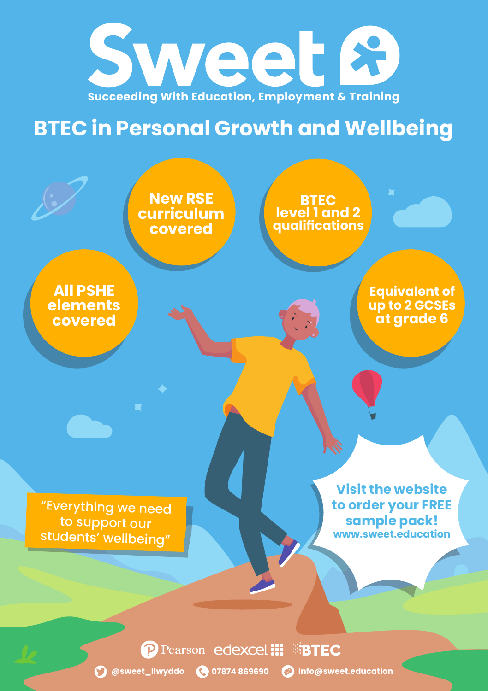

## **BTEC in Personal Growth and Wellbeing**



**P** Pearson edexcel **III BITEC** 

**@sweet\_llwyddo 07874 869690 info@sweet.education**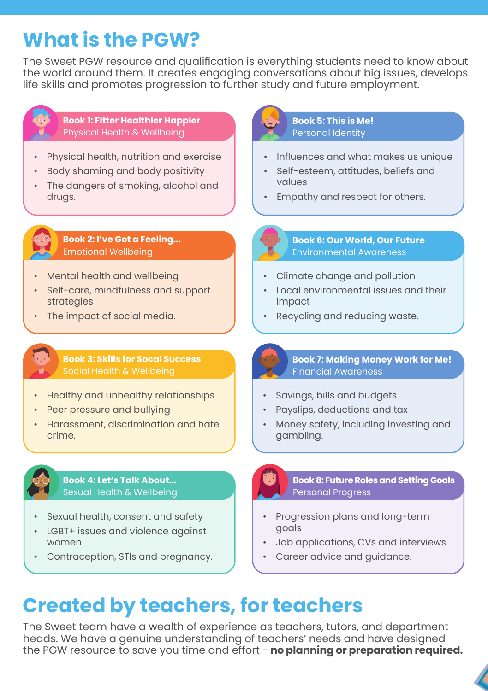## **What is the PGW?**

The Sweet PGW resource and qualification is everything students need to know about the world around them. It creates engaging conversations about big issues, develops life skills and promotes progression to further study and future employment.

![](_page_1_Picture_2.jpeg)

#### **Book 1: Fitter Healthier Happier**  Physical Health & Wellbeing

- Physical health, nutrition and exercise
- Body shaming and body positivity
- The dangers of smoking, alcohol and drugs.

![](_page_1_Picture_7.jpeg)

- Influences and what makes us unique
- Self-esteem, attitudes, beliefs and values
- Empathy and respect for others.

![](_page_1_Picture_11.jpeg)

**Book 2: I've Got a Feeling...** Emotional Wellbeing

- Mental health and wellbeing
- Self-care, mindfulness and support strategies
- The impact of social media.

## **Book 3: Skills for Socal Success**

- Healthy and unhealthy relationships
- Peer pressure and bullying
- Harassment, discrimination and hate crime.

![](_page_1_Picture_20.jpeg)

#### **Book 4: Let's Talk About...** Sexual Health & Wellbeing

- Sexual health, consent and safety
- LGBT+ issues and violence against women
- Contraception, STIs and pregnancy.

**Book 2** Emotional Wellbeing Environmental Awareness **Book 6: Our World, Our Future**

- Climate change and pollution
- Local environmental issues and their impact
- Recycling and reducing waste.

![](_page_1_Picture_29.jpeg)

#### **Book 7: Making Money Work for Me!** Financial Awareness

- Savings, bills and budgets
- Payslips, deductions and tax
- Money safety, including investing and gambling.

**Book 8: Future Roles and Setting Goals** Personal Progress

- Progression plans and long-term goals
- Job applications, CVs and interviews
- Career advice and guidance.

# **Created by teachers, for teachers**

The Sweet team have a wealth of experience as teachers, tutors, and department heads. We have a genuine understanding of teachers' needs and have designed the PGW resource to save you time and effort - **no planning or preparation required.**

![](_page_1_Picture_41.jpeg)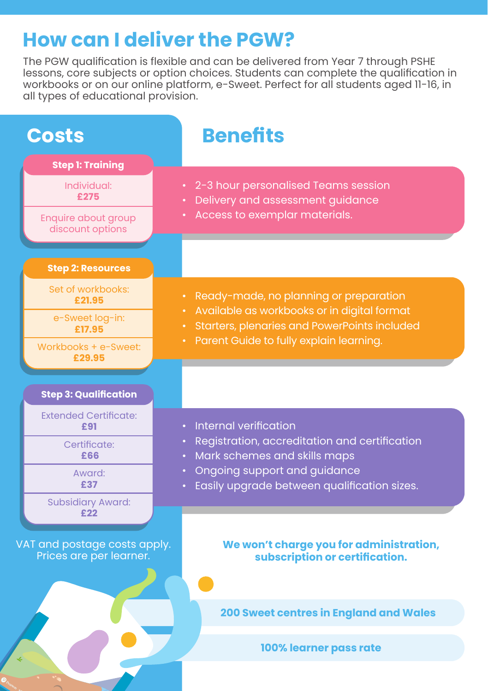### **How can I deliver the PGW?**

The PGW qualification is flexible and can be delivered from Year 7 through PSHE lessons, core subjects or option choices. Students can complete the qualification in workbooks or on our online platform, e-Sweet. Perfect for all students aged 11-16, in all types of educational provision.

![](_page_2_Figure_2.jpeg)